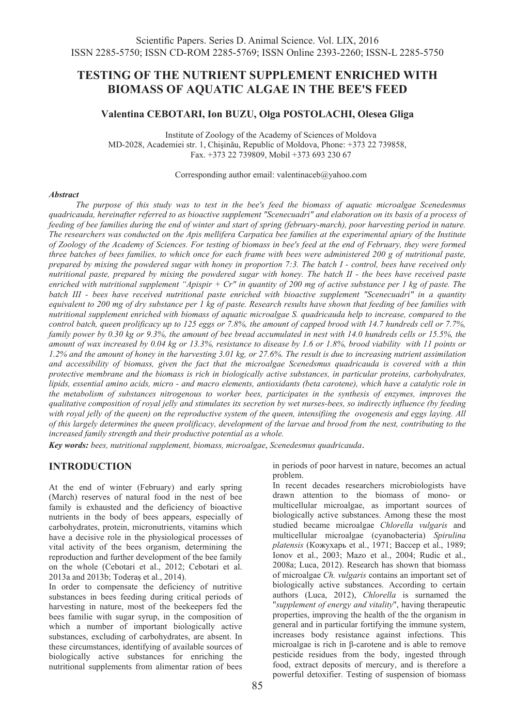# **TESTING OF THE NUTRIENT SUPPLEMENT ENRICHED WITH BIOMASS OF AQUATIC ALGAE IN THE BEE'S FEED**

#### **Valentina CEBOTARI, Ion BUZU, Olga POSTOLACHI, Olesea Gliga**

Institute of Zoology of the Academy of Sciences of Moldova MD-2028, Academiei str. 1, Chişinău, Republic of Moldova, Phone: +373 22 739858, Fax. +373 22 739809, Mobil +373 693 230 67

Corresponding author email: valentinaceb@yahoo.com

#### *Abstract*

*The purpose of this study was to test in the bee's feed the biomass of aquatic microalgae Scenedesmus quadricauda, hereinafter referred to as bioactive supplement "Scenecuadri" and elaboration on its basis of a process of feeding of bee families during the end of winter and start of spring (february-march), poor harvesting period in nature. The researchers was conducted on the Apis mellifera Carpatica bee families at the experimental apiary of the Institute of Zoology of the Academy of Sciences. For testing of biomass in bee's feed at the end of February, they were formed three batches of bees families, to which once for each frame with bees were administered 200 g of nutritional paste, prepared by mixing the powdered sugar with honey in proportion 7:3. The batch I - control, bees have received only nutritional paste, prepared by mixing the powdered sugar with honey. The batch II - the bees have received paste enriched with nutritional supplement "Apispir + Cr" in quantity of 200 mg of active substance per 1 kg of paste. The batch III - bees have received nutritional paste enriched with bioactive supplement "Scenecuadri" in a quantity equivalent to 200 mg of dry substance per 1 kg of paste. Research results have shown that feeding of bee families with nutritional supplement enriched with biomass of aquatic microalgae S. quadricauda help to increase, compared to the control batch, queen prolificacy up to 125 eggs or 7.8%, the amount of capped brood with 14.7 hundreds cell or 7.7%, family power by 0.30 kg or 9.3%, the amount of bee bread accumulated in nest with 14.0 hundreds cells or 15.5%, the amount of wax increased by 0.04 kg or 13.3%, resistance to disease by 1.6 or 1.8%, brood viability with 11 points or 1.2% and the amount of honey in the harvesting 3.01 kg, or 27.6%. The result is due to increasing nutrient assimilation and accessibility of biomass, given the fact that the microalgae Scenedsmus quadricauda is covered with a thin protective membrane and the biomass is rich in biologically active substances, in particular proteins, carbohydrates, lipids, essential amino acids, micro - and macro elements, antioxidants (beta carotene), which have a catalytic role in the metabolism of substances nitrogenous to worker bees, participates in the synthesis of enzymes, improves the qualitative composition of royal jelly and stimulates its secretion by wet nurses-bees, so indirectly influence (by feeding with royal jelly of the queen) on the reproductive system of the queen, intensifiing the ovogenesis and eggs laying. All of this largely determines the queen prolificacy, development of the larvae and brood from the nest, contributing to the increased family strength and their productive potential as a whole.* 

*Key words: bees, nutritional supplement, biomass, microalgae*, *Scenedesmus quadricauda*.

### **INTRODUCTION**

At the end of winter (February) and early spring (March) reserves of natural food in the nest of bee family is exhausted and the deficiency of bioactive nutrients in the body of bees appears, especially of carbohydrates, protein, micronutrients, vitamins which have a decisive role in the physiological processes of vital activity of the bees organism, determining the reproduction and further development of the bee family on the whole (Cebotari et al., 2012; Cebotari et al. 2013a and 2013b; Toderaş et al., 2014).

In order to compensate the deficiency of nutritive substances in bees feeding during critical periods of harvesting in nature, most of the beekeepers fed the bees familie with sugar syrup, in the composition of which a number of important biologically active substances, excluding of carbohydrates, are absent. In these circumstances, identifying of available sources of biologically active substances for enriching the nutritional supplements from alimentar ration of bees

in periods of poor harvest in nature, becomes an actual problem. In recent decades researchers microbiologists have

drawn attention to the biomass of mono- or multicellular microalgae, as important sources of biologically active substances. Among these the most studied became microalgae *Chlorella vulgaris* and multicellular microalgae (cyanobacteria) *Spirulina platensis* (Кожухарь et al., 1971; Вассер et al., 1989; Ionov et al., 2003; Mazo et al., 2004; Rudic et al., 2008a; Luca, 2012). Research has shown that biomass of microalgae *Ch. vulgaris* contains an important set of biologically active substances. According to certain authors (Luca, 2012), *Chlorella* is surnamed the "*supplement of energy and vitality*", having therapeutic properties, improving the health of the the organism in general and in particular fortifying the immune system, increases body resistance against infections. This microalgae is rich in β-carotene and is able to remove pesticide residues from the body, ingested through food, extract deposits of mercury, and is therefore a powerful detoxifier. Testing of suspension of biomass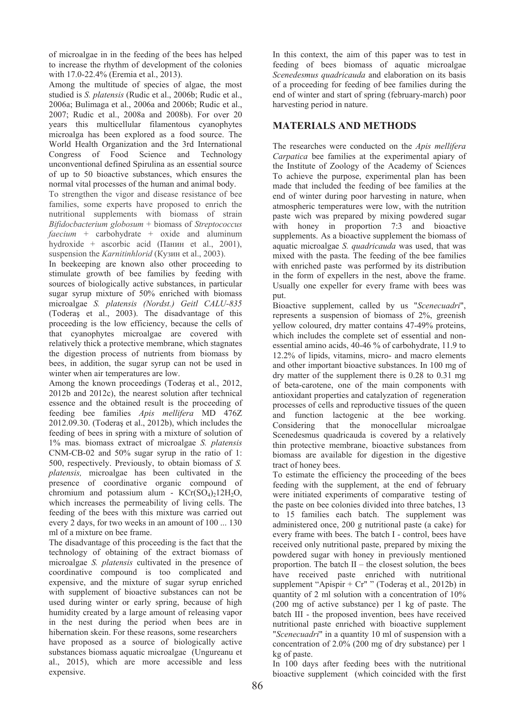of microalgae in in the feeding of the bees has helped to increase the rhythm of development of the colonies with 17.0-22.4% (Eremia et al., 2013).

Among the multitude of species of algae, the most studied is *S. platensis* (Rudic et al., 2006b; Rudic et al., 2006a; Bulimaga et al., 2006a and 2006b; Rudic et al., 2007; Rudic et al., 2008a and 2008b). For over 20 years this multicellular filamentous cyanophytes microalga has been explored as a food source. The World Health Organization and the 3rd International Congress of Food Science and Technology unconventional defined Spirulina as an essential source of up to 50 bioactive substances, which ensures the normal vital processes of the human and animal body.

To strengthen the vigor and disease resistance of bee families, some experts have proposed to enrich the nutritional supplements with biomass of strain *Bifidocbacterium globosum* + biomass of *Streptococcus faecium* + carbohydrate + oxide and aluminum hydroxide + ascorbic acid (Панин et al., 2001), suspension the *Karnitinhlorid* (Кузин et al., 2003).

In beekeeping are known also other proceeding to stimulate growth of bee families by feeding with sources of biologically active substances, in particular sugar syrup mixture of 50% enriched with biomass microalgae *S. platensis (Nordst.) Geitl CALU-835* (Toderaş et al., 2003). The disadvantage of this proceeding is the low efficiency, because the cells of that cyanophytes microalgae are covered with relatively thick a protective membrane, which stagnates the digestion process of nutrients from biomass by bees, in addition, the sugar syrup can not be used in winter when air temperatures are low.

Among the known proceedings (Toderaş et al., 2012, 2012b and 2012c), the nearest solution after technical essence and the obtained result is the proceeding of feeding bee families *Apis mellifera* MD 476Z 2012.09.30. (Toderaş et al., 2012b), which includes the feeding of bees in spring with a mixture of solution of 1% mas. biomass extract of microalgae *S. platensis* CNM-CB-02 and 50% sugar syrup in the ratio of 1: 500, respectively. Previously, to obtain biomass of *S. platensis,* microalgae has been cultivated in the presence of coordinative organic compound of chromium and potassium alum -  $KCr(SO<sub>4</sub>)<sub>2</sub>12H<sub>2</sub>O$ , which increases the permeability of living cells. The feeding of the bees with this mixture was carried out every 2 days, for two weeks in an amount of 100 ... 130 ml of a mixture on bee frame.

The disadvantage of this proceeding is the fact that the technology of obtaining of the extract biomass of microalgae *S. platensis* cultivated in the presence of coordinative compound is too complicated and expensive, and the mixture of sugar syrup enriched with supplement of bioactive substances can not be used during winter or early spring, because of high humidity created by a large amount of releasing vapor in the nest during the period when bees are in hibernation skein. For these reasons, some researchers have proposed as a source of biologically active substances biomass aquatic microalgae (Ungureanu et al., 2015), which are more accessible and less

expensive.

In this context, the aim of this paper was to test in feeding of bees biomass of aquatic microalgae *Scenedesmus quadricauda* and elaboration on its basis of a proceeding for feeding of bee families during the end of winter and start of spring (february-march) poor harvesting period in nature.

# **MATERIALS AND METHODS**

The researches were conducted on the *Apis mellifera Carpatica* bee families at the experimental apiary of the Institute of Zoology of the Academy of Sciences To achieve the purpose, experimental plan has been made that included the feeding of bee families at the end of winter during poor harvesting in nature, when atmospheric temperatures were low, with the nutrition paste wich was prepared by mixing powdered sugar with honey in proportion 7:3 and bioactive supplements. As a bioactive supplement the biomass of aquatic microalgae *S. quadricauda* was used, that was mixed with the pasta. The feeding of the bee families with enriched paste was performed by its distribution in the form of expellers in the nest, above the frame. Usually one expeller for every frame with bees was put.

Bioactive supplement, called by us "*Scenecuadri*", represents a suspension of biomass of 2%, greenish yellow coloured, dry matter contains 47-49% proteins, which includes the complete set of essential and nonessential amino acids, 40-46 % of carbohydrate, 11.9 to 12.2% of lipids, vitamins, micro- and macro elements and other important bioactive substances. In 100 mg of dry matter of the supplement there is 0.28 to 0.31 mg of beta-carotene, one of the main components with antioxidant properties and catalyzation of regeneration processes of cells and reproductive tissues of the queen and function lactogenic at the bee working. Considering that the monocellular microalgae Scenedesmus quadricauda is covered by a relatively thin protective membrane, bioactive substances from biomass are available for digestion in the digestive tract of honey bees.

To estimate the efficiency the proceeding of the bees feeding with the supplement, at the end of february were initiated experiments of comparative testing of the paste on bee colonies divided into three batches, 13 to 15 families each batch. The supplement was administered once, 200 g nutritional paste (a cake) for every frame with bees. The batch I - control, bees have received only nutritional paste, prepared by mixing the powdered sugar with honey in previously mentioned proportion. The batch  $II$  – the closest solution, the bees have received paste enriched with nutritional supplement "Apispir +  $Cr$ " " (Toderas et al., 2012b) in quantity of 2 ml solution with a concentration of 10% (200 mg of active substance) per 1 kg of paste. The batch III - the proposed invention, bees have received nutritional paste enriched with bioactive supplement "*Scenecuadri*" in a quantity 10 ml of suspension with a concentration of 2.0% (200 mg of dry substance) per 1 kg of paste.

In 100 days after feeding bees with the nutritional bioactive supplement (which coincided with the first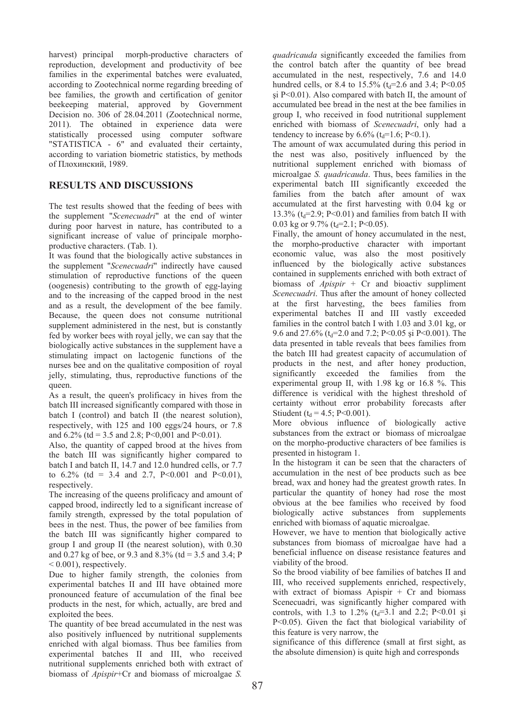harvest) principal morph-productive characters of reproduction, development and productivity of bee families in the experimental batches were evaluated, according to Zootechnical norme regarding breeding of bee families, the growth and certification of genitor beekeeping material, approved by Government Decision no. 306 of 28.04.2011 (Zootechnical norme, 2011). The obtained in experience data were statistically processed using computer software "STATISTICA - 6" and evaluated their certainty, according to variation biometric statistics, by methods of Плохинский, 1989.

# **RESULTS AND DISCUSSIONS**

The test results showed that the feeding of bees with the supplement "*Scenecuadri*" at the end of winter during poor harvest in nature, has contributed to a significant increase of value of principale morphoproductive characters. (Tab. 1).

It was found that the biologically active substances in the supplement "*Scenecuadri*" indirectly have caused stimulation of reproductive functions of the queen (oogenesis) contributing to the growth of egg-laying and to the increasing of the capped brood in the nest and as a result, the development of the bee family. Because, the queen does not consume nutritional supplement administered in the nest, but is constantly fed by worker bees with royal jelly, we can say that the biologically active substances in the supplement have a stimulating impact on lactogenic functions of the nurses bee and on the qualitative composition of royal jelly, stimulating, thus, reproductive functions of the queen.

As a result, the queen's prolificacy in hives from the batch III increased significantly compared with those in batch I (control) and batch II (the nearest solution), respectively, with 125 and 100 eggs/24 hours, or 7.8 and  $6.2\%$  (td = 3.5 and 2.8; P<0,001 and P<0.01).

Also, the quantity of capped brood at the hives from the batch III was significantly higher compared to batch I and batch II, 14.7 and 12.0 hundred cells, or 7.7 to  $6.2\%$  (td = 3.4 and 2.7, P<0.001 and P<0.01), respectively.

The increasing of the queens prolificacy and amount of capped brood, indirectly led to a significant increase of family strength, expressed by the total population of bees in the nest. Thus, the power of bee families from the batch III was significantly higher compared to group I and group II (the nearest solution), with 0.30 and 0.27 kg of bee, or 9.3 and 8.3% (td =  $3.5$  and 3.4; P  $< 0.001$ ), respectively.

Due to higher family strength, the colonies from experimental batches II and III have obtained more pronounced feature of accumulation of the final bee products in the nest, for which, actually, are bred and exploited the bees.

The quantity of bee bread accumulated in the nest was also positively influenced by nutritional supplements enriched with algal biomass. Thus bee families from experimental batches II and III, who received nutritional supplements enriched both with extract of biomass of *Apispir*+Cr and biomass of microalgae *S.* 

*quadricauda* significantly exceeded the families from the control batch after the quantity of bee bread accumulated in the nest, respectively, 7.6 and 14.0 hundred cells, or 8.4 to  $15.5\%$  (t<sub>d</sub>=2.6 and 3.4; P<0.05 si  $P \le 0.01$ ). Also compared with batch II, the amount of accumulated bee bread in the nest at the bee families in group I, who received in food nutritional supplement enriched with biomass of *Scenecuadri*, only had a tendency to increase by  $6.6\%$  (t<sub>d</sub>=1.6; P<0.1).

The amount of wax accumulated during this period in the nest was also, positively influenced by the nutritional supplement enriched with biomass of microalgae *S. quadricauda*. Thus, bees families in the experimental batch III significantly exceeded the families from the batch after amount of wax accumulated at the first harvesting with 0.04 kg or 13.3% ( $t_d$ =2.9; P<0.01) and families from batch II with 0.03 kg or 9.7% ( $t<sub>d</sub>=2.1$ ; P<0.05).

Finally, the amount of honey accumulated in the nest, the morpho-productive character with important economic value, was also the most positively influenced by the biologically active substances contained in supplements enriched with both extract of biomass of *Apispir* + Cr and bioactiv suppliment *Scenecuadri*. Thus after the amount of honey collected at the first harvesting, the bees families from experimental batches II and III vastly exceeded families in the control batch I with 1.03 and 3.01 kg, or 9.6 and 27.6% ( $t_d$ =2.0 and 7.2; P<0.05 si P<0.001). The data presented in table reveals that bees families from the batch III had greatest capacity of accumulation of products in the nest, and after honey production, significantly exceeded the families experimental group II, with 1.98 kg or 16.8 %. This difference is veridical with the highest threshold of certainty without error probability forecasts after Stiudent ( $t_d = 4.5$ ; P<0.001).

More obvious influence of biologically active substances from the extract or biomass of microalgae on the morpho-productive characters of bee families is presented in histogram 1.

In the histogram it can be seen that the characters of accumulation in the nest of bee products such as bee bread, wax and honey had the greatest growth rates. In particular the quantity of honey had rose the most obvious at the bee families who received by food biologically active substances from supplements enriched with biomass of aquatic microalgae.

However, we have to mention that biologically active substances from biomass of microalgae have had a beneficial influence on disease resistance features and viability of the brood.

So the brood viability of bee families of batches II and III, who received supplements enriched, respectively, with extract of biomass Apispir + Cr and biomass Scenecuadri, was significantly higher compared with controls, with 1.3 to 1.2%  $(t_d=3.1 \text{ and } 2.2; P<0.01 \text{ și})$ P<0.05). Given the fact that biological variability of this feature is very narrow, the

significance of this difference (small at first sight, as the absolute dimension) is quite high and corresponds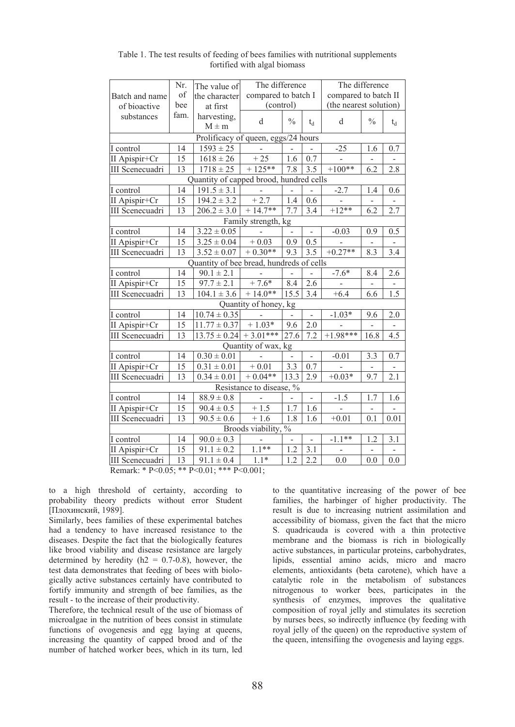|                                          | Nr.  | The value of               | The difference                                                                  |               |       | The difference         |                          |       |  |  |  |
|------------------------------------------|------|----------------------------|---------------------------------------------------------------------------------|---------------|-------|------------------------|--------------------------|-------|--|--|--|
| Batch and name                           | of   | the character              | compared to batch I                                                             |               |       | compared to batch II   |                          |       |  |  |  |
| of bioactive                             | bee  | at first                   | (control)                                                                       |               |       | (the nearest solution) |                          |       |  |  |  |
| substances                               | fam. | harvesting.                | d                                                                               | $\frac{0}{0}$ |       | d                      | $\frac{0}{0}$            |       |  |  |  |
|                                          |      | $M \pm m$                  |                                                                                 |               | $t_d$ |                        |                          | $t_d$ |  |  |  |
| Prolificacy of queen, eggs/24 hours      |      |                            |                                                                                 |               |       |                        |                          |       |  |  |  |
| I control                                | 14   | $1593 \pm 25$              |                                                                                 |               |       | $-25$                  | 1.6                      | 0.7   |  |  |  |
| II Apispir+Cr                            | 15   | $1618 \pm 26$              | $+25$                                                                           | 1.6           | 0.7   |                        | L.                       |       |  |  |  |
| III Scenecuadri                          | 13   | $1718 \pm 25$              | $+125**$                                                                        | 7.8           | 3.5   | $+100**$               | 6.2                      | 2.8   |  |  |  |
| Quantity of capped brood, hundred cells  |      |                            |                                                                                 |               |       |                        |                          |       |  |  |  |
| I control                                | 14   | $191.5 \pm 3.1$            | $\bar{\phantom{a}}$                                                             | ÷,            |       | $-2.7$                 | 1.4                      | 0.6   |  |  |  |
| II Apispir+Cr                            | 15   | $194.2 \pm 3.2$            | $+2.7$                                                                          | 1.4           | 0.6   |                        | $\overline{\phantom{0}}$ |       |  |  |  |
| III Scenecuadri                          | 13   | $206.2 \pm 3.0$            | $+14.7**$                                                                       | 7.7           | 3.4   | $+12**$                | 6.2                      | 2.7   |  |  |  |
| Family strength, kg                      |      |                            |                                                                                 |               |       |                        |                          |       |  |  |  |
| I control                                | 14   | $3.22 \pm 0.05$            |                                                                                 |               |       | $-0.03$                | 0.9                      | 0.5   |  |  |  |
| II Apispir+Cr                            | 15   | $3.25 \pm 0.04$            | $+0.03$                                                                         | 0.9           | 0.5   |                        | $\overline{\phantom{a}}$ |       |  |  |  |
| III Scenecuadri                          | 13   | $3.52 \pm 0.07$            | $+0.30**$                                                                       | 9.3           | 3.5   | $+0.27**$              | 8.3                      | 3.4   |  |  |  |
| Quantity of bee bread, hundreds of cells |      |                            |                                                                                 |               |       |                        |                          |       |  |  |  |
| I control                                | 14   | $90.1 \pm 2.1$             |                                                                                 |               |       | $-7.6*$                | 8.4                      | 2.6   |  |  |  |
| II Apispir+Cr                            | 15   | $97.7 \pm 2.1$             | $+7.6*$                                                                         | 8.4           | 2.6   |                        | $\frac{1}{2}$            |       |  |  |  |
| III Scenecuadri                          | 13   | $104.1 \pm 3.6$            | $+14.0**$                                                                       | 15.5          | 3.4   | $+6.4$                 | 6.6                      | 1.5   |  |  |  |
| Quantity of honey, kg                    |      |                            |                                                                                 |               |       |                        |                          |       |  |  |  |
| I control                                | 14   | $10.74 \pm 0.35$           |                                                                                 |               |       | $-1.03*$               | 9.6                      | 2.0   |  |  |  |
| II Apispir+Cr                            | 15   | $11.77 \pm 0.37$           | $+1.03*$                                                                        | 9.6           | 2.0   |                        |                          |       |  |  |  |
| III Scenecuadri                          | 13   | $13.75 \pm 0.24$ + 3.01*** |                                                                                 | 27.6          | 7.2   | $+1.98***$             | 16.8                     | 4.5   |  |  |  |
| Quantity of wax, kg                      |      |                            |                                                                                 |               |       |                        |                          |       |  |  |  |
| I control                                | 14   | $0.30 \pm 0.01$            |                                                                                 |               |       | $-0.01$                | 3.3                      | 0.7   |  |  |  |
| II Apispir+Cr                            | 15   | $0.31 \pm 0.01$            | $+0.01$                                                                         | 3.3           | 0.7   |                        |                          |       |  |  |  |
| <b>III</b> Scenecuadri                   | 13   | $0.34 \pm 0.01$            | $+0.04**$                                                                       | 13.3          | 2.9   | $+0.03*$               | 9.7                      | 2.1   |  |  |  |
| Resistance to disease, %                 |      |                            |                                                                                 |               |       |                        |                          |       |  |  |  |
| I control                                | 14   | $88.9 \pm 0.8$             |                                                                                 |               |       | $-1.5$                 | 1.7                      | 1.6   |  |  |  |
| II Apispir+Cr                            | 15   | $90.4 \pm 0.5$             | $+1.5$                                                                          | 1.7           | 1.6   |                        | ÷,                       |       |  |  |  |
| III Scenecuadri                          | 13   | $90.5 \pm 0.6$             | $+1.6$                                                                          | 1.8           | 1.6   | $+0.01$                | 0.1                      | 0.01  |  |  |  |
| Broods viability, %                      |      |                            |                                                                                 |               |       |                        |                          |       |  |  |  |
| I control                                | 14   | $90.0 \pm 0.3$             |                                                                                 |               |       | $-1.1***$              | 1.2                      | 3.1   |  |  |  |
| II Apispir+Cr                            | 15   | $91.1 \pm 0.2$             | $1.1**$                                                                         | 1.2           | 3.1   |                        |                          |       |  |  |  |
| III Scenecuadri                          | 13   | $91.1 \pm 0.4$             | $1.1*$                                                                          | 1.2           | 2.2   | 0.0                    | 0.0                      | 0.0   |  |  |  |
|                                          |      |                            | $D_1, \ldots, D_n \times D_2 \cap D_3$ , ** $D_2 \cap D_1$ , *** $D_2 \cap D_1$ |               |       |                        |                          |       |  |  |  |

Table 1. The test results of feeding of bees families with nutritional supplements fortified with algal biomass

Remark: \* P<0.05; \*\* P<0.01; \*\*\* P<0.001;

to a high threshold of certainty, according to probability theory predicts without error Student [Плохинский, 1989].

Similarly, bees families of these experimental batches had a tendency to have increased resistance to the diseases. Despite the fact that the biologically features like brood viability and disease resistance are largely determined by heredity ( $h2 = 0.7$ -0.8), however, the test data demonstrates that feeding of bees with biologically active substances certainly have contributed to fortify immunity and strength of bee families, as the result - to the increase of their productivity.

Therefore, the technical result of the use of biomass of microalgae in the nutrition of bees consist in stimulate functions of ovogenesis and egg laying at queens, increasing the quantity of capped brood and of the number of hatched worker bees, which in its turn, led to the quantitative increasing of the power of bee families, the harbinger of higher productivity. The result is due to increasing nutrient assimilation and accessibility of biomass, given the fact that the micro S. quadricauda is covered with a thin protective membrane and the biomass is rich in biologically active substances, in particular proteins, carbohydrates, lipids, essential amino acids, micro and macro elements, antioxidants (beta carotene), which have a catalytic role in the metabolism of substances nitrogenous to worker bees, participates in the synthesis of enzymes, improves the qualitative composition of royal jelly and stimulates its secretion by nurses bees, so indirectly influence (by feeding with royal jelly of the queen) on the reproductive system of the queen, intensifiing the ovogenesis and laying eggs.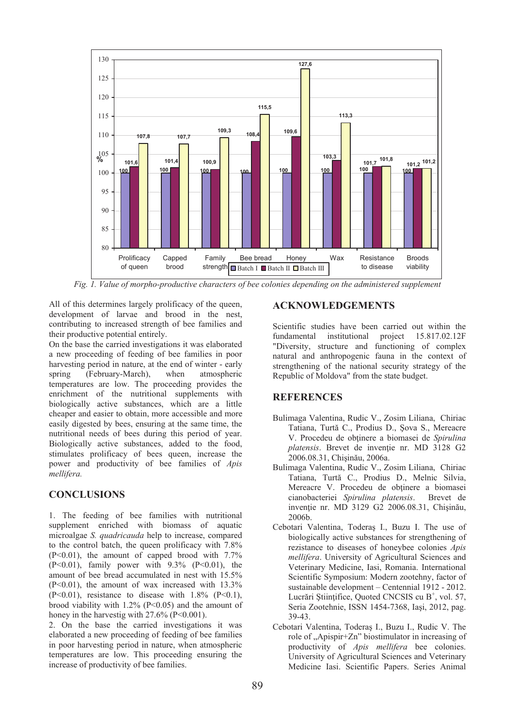

*Fig. 1. Value of morpho-productive characters of bee colonies depending on the administered supplement* 

All of this determines largely prolificacy of the queen, development of larvae and brood in the nest, contributing to increased strength of bee families and their productive potential entirely.

On the base the carried investigations it was elaborated a new proceeding of feeding of bee families in poor harvesting period in nature, at the end of winter - early spring (February-March), when atmospheric temperatures are low. The proceeding provides the enrichment of the nutritional supplements with biologically active substances, which are a little cheaper and easier to obtain, more accessible and more easily digested by bees, ensuring at the same time, the nutritional needs of bees during this period of year. Biologically active substances, added to the food, stimulates prolificacy of bees queen, increase the power and productivity of bee families of *Apis mellifera.*

# **CONCLUSIONS**

1. The feeding of bee families with nutritional supplement enriched with biomass of aquatic microalgae *S. quadricauda* help to increase, compared to the control batch, the queen prolificacy with 7.8%  $(P<0.01)$ , the amount of capped brood with 7.7%  $(P<0.01)$ , family power with 9.3%  $(P<0.01)$ , the amount of bee bread accumulated in nest with 15.5%  $(P<0.01)$ , the amount of wax increased with 13.3%  $(P<0.01)$ , resistance to disease with 1.8%  $(P<0.1)$ , brood viability with  $1.2\%$  (P<0.05) and the amount of honey in the harvestig with 27.6% (P<0.001).

2. On the base the carried investigations it was elaborated a new proceeding of feeding of bee families in poor harvesting period in nature, when atmospheric temperatures are low. This proceeding ensuring the increase of productivity of bee families.

# **ACKNOWLEDGEMENTS**

Scientific studies have been carried out within the fundamental institutional project 15.817.02.12F "Diversity, structure and functioning of complex natural and anthropogenic fauna in the context of strengthening of the national security strategy of the Republic of Moldova" from the state budget.

### **REFERENCES**

- Bulimaga Valentina, Rudic V., Zosim Liliana, Chiriac Tatiana, Turtă C., Prodius D., Şova S., Mereacre V. Procedeu de obţinere a biomasei de *Spirulina platensis*. Brevet de invenţie nr. MD 3128 G2 2006.08.31, Chişinău, 2006a.
- Bulimaga Valentina, Rudic V., Zosim Liliana, Chiriac Tatiana, Turtă C., Prodius D., Melnic Silvia, Mereacre V. Procedeu de obținere a biomasei cianobacteriei Spirulina platensis. Brevet de cianobacteriei Spirulina platensis. invenție nr. MD 3129 G2 2006.08.31, Chișinău, 2006b.
- Cebotari Valentina, Toderaş I., Buzu I. The use of biologically active substances for strengthening of rezistance to diseases of honeybee colonies *Apis mellifera*. University of Agricultural Sciences and Veterinary Medicine, Iasi, Romania. International Scientific Symposium: Modern zootehny, factor of sustainable development – Centennial 1912 - 2012. Lucrări Științifice, Quoted CNCSIS cu B<sup>+</sup>, vol. 57, Seria Zootehnie, ISSN 1454-7368, Iaşi, 2012, pag. 39-43.
- Cebotari Valentina, Toderaş I., Buzu I., Rudic V. The role of "Apispir+Zn" biostimulator in increasing of productivity of *Apis mellifera* bee colonies. University of Agricultural Sciences and Veterinary Medicine Iasi. Scientific Papers. Series Animal